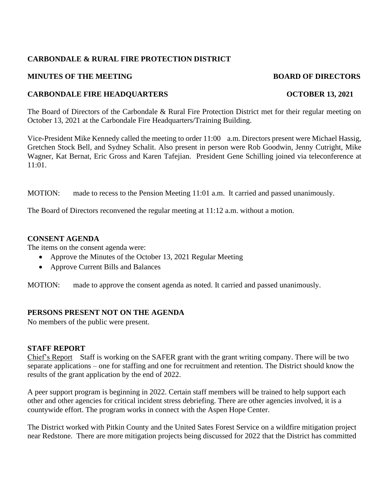# **CARBONDALE & RURAL FIRE PROTECTION DISTRICT**

### **MINUTES OF THE MEETING BOARD OF DIRECTORS**

# **CARBONDALE FIRE HEADQUARTERS OCTOBER 13, 2021**

The Board of Directors of the Carbondale & Rural Fire Protection District met for their regular meeting on October 13, 2021 at the Carbondale Fire Headquarters/Training Building.

Vice-President Mike Kennedy called the meeting to order 11:00 a.m. Directors present were Michael Hassig, Gretchen Stock Bell, and Sydney Schalit. Also present in person were Rob Goodwin, Jenny Cutright, Mike Wagner, Kat Bernat, Eric Gross and Karen Tafejian. President Gene Schilling joined via teleconference at 11:01.

MOTION: made to recess to the Pension Meeting 11:01 a.m. It carried and passed unanimously.

The Board of Directors reconvened the regular meeting at 11:12 a.m. without a motion.

#### **CONSENT AGENDA**

The items on the consent agenda were:

- Approve the Minutes of the October 13, 2021 Regular Meeting
- Approve Current Bills and Balances

MOTION: made to approve the consent agenda as noted. It carried and passed unanimously.

#### **PERSONS PRESENT NOT ON THE AGENDA**

No members of the public were present.

#### **STAFF REPORT**

Chief's Report Staff is working on the SAFER grant with the grant writing company. There will be two separate applications – one for staffing and one for recruitment and retention. The District should know the results of the grant application by the end of 2022.

A peer support program is beginning in 2022. Certain staff members will be trained to help support each other and other agencies for critical incident stress debriefing. There are other agencies involved, it is a countywide effort. The program works in connect with the Aspen Hope Center.

The District worked with Pitkin County and the United Sates Forest Service on a wildfire mitigation project near Redstone. There are more mitigation projects being discussed for 2022 that the District has committed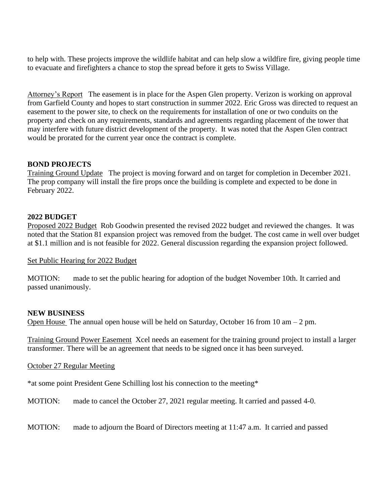to help with. These projects improve the wildlife habitat and can help slow a wildfire fire, giving people time to evacuate and firefighters a chance to stop the spread before it gets to Swiss Village.

Attorney's Report The easement is in place for the Aspen Glen property. Verizon is working on approval from Garfield County and hopes to start construction in summer 2022. Eric Gross was directed to request an easement to the power site, to check on the requirements for installation of one or two conduits on the property and check on any requirements, standards and agreements regarding placement of the tower that may interfere with future district development of the property. It was noted that the Aspen Glen contract would be prorated for the current year once the contract is complete.

# **BOND PROJECTS**

Training Ground Update The project is moving forward and on target for completion in December 2021. The prop company will install the fire props once the building is complete and expected to be done in February 2022.

## **2022 BUDGET**

Proposed 2022 Budget Rob Goodwin presented the revised 2022 budget and reviewed the changes. It was noted that the Station 81 expansion project was removed from the budget. The cost came in well over budget at \$1.1 million and is not feasible for 2022. General discussion regarding the expansion project followed.

#### Set Public Hearing for 2022 Budget

MOTION: made to set the public hearing for adoption of the budget November 10th. It carried and passed unanimously.

#### **NEW BUSINESS**

Open House The annual open house will be held on Saturday, October 16 from 10 am  $-2$  pm.

Training Ground Power Easement Xcel needs an easement for the training ground project to install a larger transformer. There will be an agreement that needs to be signed once it has been surveyed.

October 27 Regular Meeting

\*at some point President Gene Schilling lost his connection to the meeting\*

MOTION: made to cancel the October 27, 2021 regular meeting. It carried and passed 4-0.

MOTION: made to adjourn the Board of Directors meeting at 11:47 a.m. It carried and passed